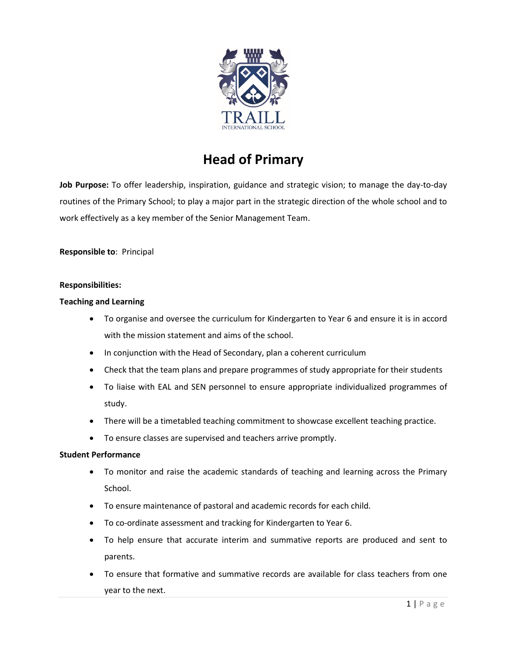

# **Head of Primary**

**Job Purpose:** To offer leadership, inspiration, guidance and strategic vision; to manage the day-to-day routines of the Primary School; to play a major part in the strategic direction of the whole school and to work effectively as a key member of the Senior Management Team.

**Responsible to**: Principal

## **Responsibilities:**

## **Teaching and Learning**

- To organise and oversee the curriculum for Kindergarten to Year 6 and ensure it is in accord with the mission statement and aims of the school.
- In conjunction with the Head of Secondary, plan a coherent curriculum
- Check that the team plans and prepare programmes of study appropriate for their students
- To liaise with EAL and SEN personnel to ensure appropriate individualized programmes of study.
- There will be a timetabled teaching commitment to showcase excellent teaching practice.
- To ensure classes are supervised and teachers arrive promptly.

## **Student Performance**

- To monitor and raise the academic standards of teaching and learning across the Primary School.
- To ensure maintenance of pastoral and academic records for each child.
- To co-ordinate assessment and tracking for Kindergarten to Year 6.
- To help ensure that accurate interim and summative reports are produced and sent to parents.
- To ensure that formative and summative records are available for class teachers from one year to the next.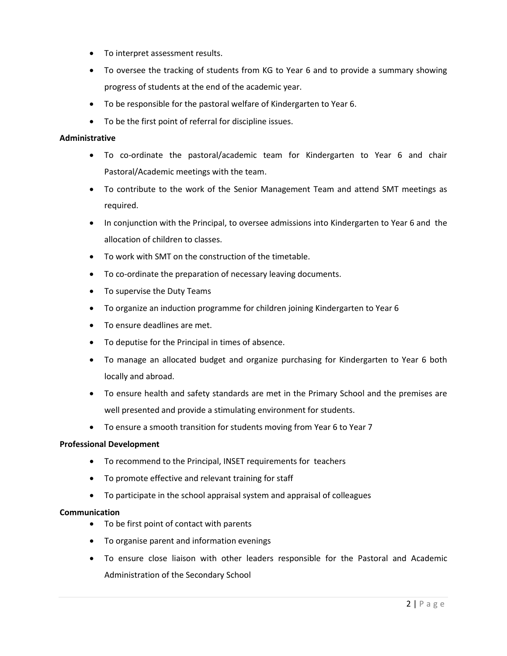- To interpret assessment results.
- To oversee the tracking of students from KG to Year 6 and to provide a summary showing progress of students at the end of the academic year.
- To be responsible for the pastoral welfare of Kindergarten to Year 6.
- To be the first point of referral for discipline issues.

#### **Administrative**

- To co-ordinate the pastoral/academic team for Kindergarten to Year 6 and chair Pastoral/Academic meetings with the team.
- To contribute to the work of the Senior Management Team and attend SMT meetings as required.
- In conjunction with the Principal, to oversee admissions into Kindergarten to Year 6 and the allocation of children to classes.
- To work with SMT on the construction of the timetable.
- To co-ordinate the preparation of necessary leaving documents.
- To supervise the Duty Teams
- To organize an induction programme for children joining Kindergarten to Year 6
- To ensure deadlines are met.
- To deputise for the Principal in times of absence.
- To manage an allocated budget and organize purchasing for Kindergarten to Year 6 both locally and abroad.
- To ensure health and safety standards are met in the Primary School and the premises are well presented and provide a stimulating environment for students.
- To ensure a smooth transition for students moving from Year 6 to Year 7

## **Professional Development**

- To recommend to the Principal, INSET requirements for teachers
- To promote effective and relevant training for staff
- To participate in the school appraisal system and appraisal of colleagues

## **Communication**

- To be first point of contact with parents
- To organise parent and information evenings
- To ensure close liaison with other leaders responsible for the Pastoral and Academic Administration of the Secondary School